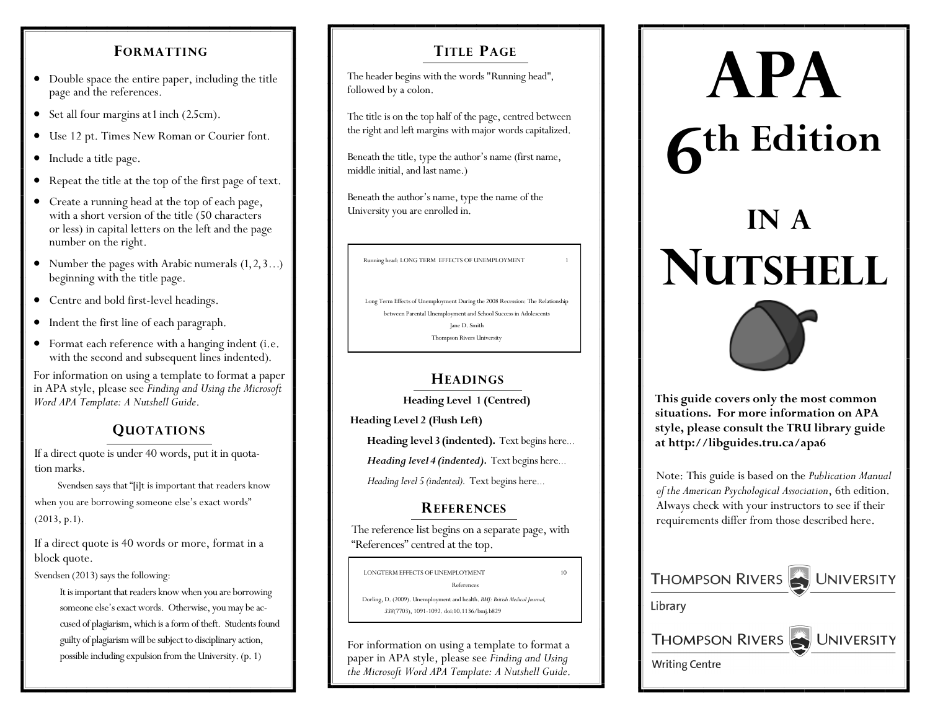#### **FORMATTING**

- Double space the entire paper, including the title page and the references.
- Set all four margins at 1 inch (2.5cm).
- Use 12 pt. Times New Roman or Courier font.
- Include a title page.
- Repeat the title at the top of the first page of text.
- Create a running head at the top of each page, with a short version of the title (50 characters or less) in capital letters on the left and the page number on the right.
- Number the pages with Arabic numerals  $(1, 2, 3...)$ beginning with the title page.
- Centre and bold first-level headings.
- Indent the first line of each paragraph.
- Format each reference with a hanging indent (i.e. with the second and subsequent lines indented).

For information on using a template to format a paper in APA style, please see *Finding and Using the Microsoft Word APA Template: A Nutshell Guide.* **This guide covers only the most common** 

#### **QUOTATIONS**

If a direct quote is under 40 words, put it in quotation marks.

 Svendsen says that "[i]t is important that readers know when you are borrowing someone else's exact words" (2013, p.1).

If a direct quote is 40 words or more, format in a block quote.

Svendsen (2013) says the following:

It is important that readers know when you are borrowing someone else's exact words. Otherwise, you may be accused of plagiarism, which is a form of theft. Students found guilty of plagiarism will be subject to disciplinary action, possible including expulsion from the University. (p. 1)

#### **TITLE PAGE**

The header begins with the words "Running head", followed by a colon.

The title is on the top half of the page, centred between the right and left margins with major words capitalized.

Beneath the title, type the author's name (first name, middle initial, and last name.)

Beneath the author's name, type the name of the University you are enrolled in.

Running head: LONG TERM EFFECTS OF UNEMPLOYMENT 1

Long Term Effects of Unemployment During the 2008 Recession: The Relationship between Parental Unemployment and School Success in Adolescents Jane D. Smith Thompson Rivers University

#### **HEADINGS**

**Heading Level 1 (Centred)**

**Heading Level 2 (Flush Left)**

**Heading level 3 (indented).** Text begins here…

*Heading level 4 (indented).* Text begins here…

 *Heading level 5 (indented).* Text begins here…

#### **REFERENCES**

The reference list begins on a separate page, with "References" centred at the top.

LONGTERM EFFECTS OF UNEMPLOYMENT 10 References Dorling, D. (2009). Unemployment and health. *BMJ: British Medical Journal, 338*(7703), 1091-1092. doi:10.1136/bmj.b829

For information on using a template to format a paper in APA style, please see *Finding and Using the Microsoft Word APA Template: A Nutshell Guide*.

# **APA**

## **6 th Edition**

### **IN A NUTSHELL**



**situations. For more information on APA style, please consult the TRU library guide at http://libguides.tru.ca/apa6**

Note: This guide is based on the *Publication Manual of the American Psychological Association*, 6th edition. Always check with your instructors to see if their requirements differ from those described here.

| THOMPSON RIVERS WINNERSITY |
|----------------------------|
| Library                    |
| THOMPSON RIVERS UNIVERSITY |
| <b>Writing Centre</b>      |